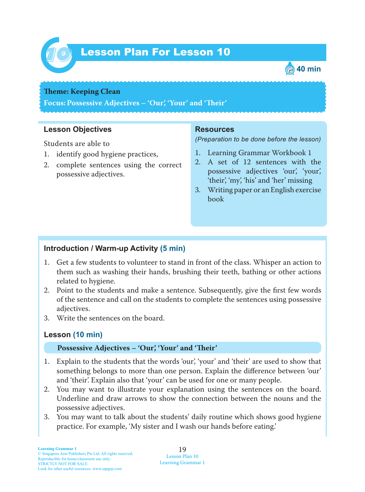

# Lesson Plan For Lesson 10 *10*



#### **Theme: Keeping Clean**

**Focus: Possessive Adjectives – 'Our', 'Your' and 'Teir'**

### **Lesson Objectives**

Students are able to

- 1. identify good hygiene practices,
- 2. complete sentences using the correct possessive adjectives.

#### **Resources**

*(Preparation to be done before the lesson)*

- 1. Learning Grammar Workbook 1
- 2. A set of 12 sentences with the possessive adjectives 'our', 'your', 'their', 'my', 'his' and 'her' missing
- 3. Writing paper or an English exercise book

## **Introduction / Warm-up Activity (5 min)**

- 1. Get a few students to volunteer to stand in front of the class. Whisper an action to them such as washing their hands, brushing their teeth, bathing or other actions related to hygiene.
- 2. Point to the students and make a sentence. Subsequently, give the first few words of the sentence and call on the students to complete the sentences using possessive adjectives.
- 3. Write the sentences on the board.

## **Lesson (10 min)**

#### **Possessive Adjectives – 'Our', 'Your' and 'Teir'**

- 1. Explain to the students that the words 'our', 'your' and 'their' are used to show that something belongs to more than one person. Explain the difference between 'our' and 'their'. Explain also that 'your' can be used for one or many people.
- 2. You may want to illustrate your explanation using the sentences on the board. Underline and draw arrows to show the connection between the nouns and the possessive adjectives.
- 3. You may want to talk about the students' daily routine which shows good hygiene practice. For example, 'My sister and I wash our hands before eating.'

19 Lesson Plan 10 Learning Grammar 1